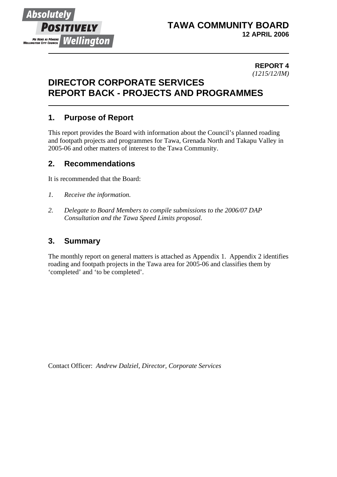

## **TAWA COMMUNITY BOARD 12 APRIL 2006**

#### **REPORT 4** *(1215/12/IM)*

## **DIRECTOR CORPORATE SERVICES REPORT BACK - PROJECTS AND PROGRAMMES**

## **1. Purpose of Report**

This report provides the Board with information about the Council's planned roading and footpath projects and programmes for Tawa, Grenada North and Takapu Valley in 2005-06 and other matters of interest to the Tawa Community.

## **2. Recommendations**

It is recommended that the Board:

- *1. Receive the information.*
- *2. Delegate to Board Members to compile submissions to the 2006/07 DAP Consultation and the Tawa Speed Limits proposal.*

### **3. Summary**

The monthly report on general matters is attached as Appendix 1. Appendix 2 identifies roading and footpath projects in the Tawa area for 2005-06 and classifies them by 'completed' and 'to be completed'.

Contact Officer: *Andrew Dalziel, Director, Corporate Services*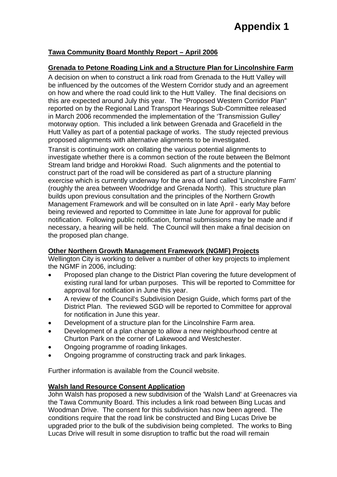# **Appendix 1**

#### **Tawa Community Board Monthly Report – April 2006**

#### **Grenada to Petone Roading Link and a Structure Plan for Lincolnshire Farm**

A decision on when to construct a link road from Grenada to the Hutt Valley will be influenced by the outcomes of the Western Corridor study and an agreement on how and where the road could link to the Hutt Valley. The final decisions on this are expected around July this year. The "Proposed Western Corridor Plan" reported on by the Regional Land Transport Hearings Sub-Committee released in March 2006 recommended the implementation of the 'Transmission Gulley' motorway option. This included a link between Grenada and Gracefield in the Hutt Valley as part of a potential package of works. The study rejected previous proposed alignments with alternative alignments to be investigated.

Transit is continuing work on collating the various potential alignments to investigate whether there is a common section of the route between the Belmont Stream land bridge and Horokiwi Road. Such alignments and the potential to construct part of the road will be considered as part of a structure planning exercise which is currently underway for the area of land called 'Lincolnshire Farm' (roughly the area between Woodridge and Grenada North). This structure plan builds upon previous consultation and the principles of the Northern Growth Management Framework and will be consulted on in late April - early May before being reviewed and reported to Committee in late June for approval for public notification. Following public notification, formal submissions may be made and if necessary, a hearing will be held. The Council will then make a final decision on the proposed plan change.

#### **Other Northern Growth Management Framework (NGMF) Projects**

Wellington City is working to deliver a number of other key projects to implement the NGMF in 2006, including:

- Proposed plan change to the District Plan covering the future development of existing rural land for urban purposes. This will be reported to Committee for approval for notification in June this year.
- A review of the Council's Subdivision Design Guide, which forms part of the District Plan. The reviewed SGD will be reported to Committee for approval for notification in June this year.
- Development of a structure plan for the Lincolnshire Farm area.
- Development of a plan change to allow a new neighbourhood centre at Churton Park on the corner of Lakewood and Westchester.
- Ongoing programme of roading linkages.
- Ongoing programme of constructing track and park linkages.

Further information is available from the Council website.

#### **Walsh land Resource Consent Application**

John Walsh has proposed a new subdivision of the 'Walsh Land' at Greenacres via the Tawa Community Board. This includes a link road between Bing Lucas and Woodman Drive. The consent for this subdivision has now been agreed. The conditions require that the road link be constructed and Bing Lucas Drive be upgraded prior to the bulk of the subdivision being completed. The works to Bing Lucas Drive will result in some disruption to traffic but the road will remain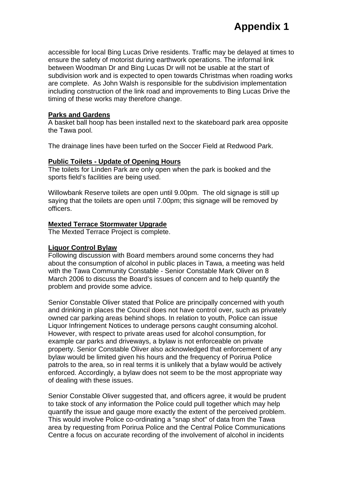accessible for local Bing Lucas Drive residents. Traffic may be delayed at times to ensure the safety of motorist during earthwork operations. The informal link between Woodman Dr and Bing Lucas Dr will not be usable at the start of subdivision work and is expected to open towards Christmas when roading works are complete. As John Walsh is responsible for the subdivision implementation including construction of the link road and improvements to Bing Lucas Drive the timing of these works may therefore change.

#### **Parks and Gardens**

A basket ball hoop has been installed next to the skateboard park area opposite the Tawa pool.

The drainage lines have been turfed on the Soccer Field at Redwood Park.

#### **Public Toilets - Update of Opening Hours**

The toilets for Linden Park are only open when the park is booked and the sports field's facilities are being used.

Willowbank Reserve toilets are open until 9.00pm. The old signage is still up saying that the toilets are open until 7.00pm; this signage will be removed by officers.

#### **Mexted Terrace Stormwater Upgrade**

The Mexted Terrace Project is complete.

#### **Liquor Control Bylaw**

Following discussion with Board members around some concerns they had about the consumption of alcohol in public places in Tawa, a meeting was held with the Tawa Community Constable - Senior Constable Mark Oliver on 8 March 2006 to discuss the Board's issues of concern and to help quantify the problem and provide some advice.

Senior Constable Oliver stated that Police are principally concerned with youth and drinking in places the Council does not have control over, such as privately owned car parking areas behind shops. In relation to youth, Police can issue Liquor Infringement Notices to underage persons caught consuming alcohol. However, with respect to private areas used for alcohol consumption, for example car parks and driveways, a bylaw is not enforceable on private property. Senior Constable Oliver also acknowledged that enforcement of any bylaw would be limited given his hours and the frequency of Porirua Police patrols to the area, so in real terms it is unlikely that a bylaw would be actively enforced. Accordingly, a bylaw does not seem to be the most appropriate way of dealing with these issues.

Senior Constable Oliver suggested that, and officers agree, it would be prudent to take stock of any information the Police could pull together which may help quantify the issue and gauge more exactly the extent of the perceived problem. This would involve Police co-ordinating a "snap shot" of data from the Tawa area by requesting from Porirua Police and the Central Police Communications Centre a focus on accurate recording of the involvement of alcohol in incidents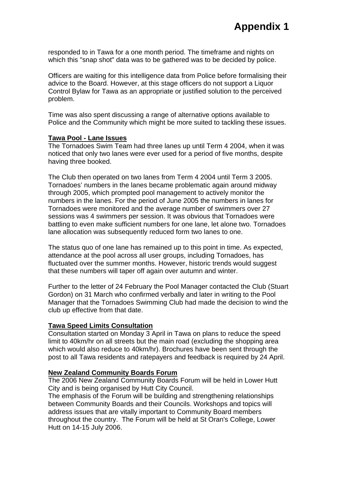responded to in Tawa for a one month period. The timeframe and nights on which this "snap shot" data was to be gathered was to be decided by police.

Officers are waiting for this intelligence data from Police before formalising their advice to the Board. However, at this stage officers do not support a Liquor Control Bylaw for Tawa as an appropriate or justified solution to the perceived problem.

Time was also spent discussing a range of alternative options available to Police and the Community which might be more suited to tackling these issues.

#### **Tawa Pool - Lane Issues**

The Tornadoes Swim Team had three lanes up until Term 4 2004, when it was noticed that only two lanes were ever used for a period of five months, despite having three booked.

The Club then operated on two lanes from Term 4 2004 until Term 3 2005. Tornadoes' numbers in the lanes became problematic again around midway through 2005, which prompted pool management to actively monitor the numbers in the lanes. For the period of June 2005 the numbers in lanes for Tornadoes were monitored and the average number of swimmers over 27 sessions was 4 swimmers per session. It was obvious that Tornadoes were battling to even make sufficient numbers for one lane, let alone two. Tornadoes lane allocation was subsequently reduced form two lanes to one.

The status quo of one lane has remained up to this point in time. As expected, attendance at the pool across all user groups, including Tornadoes, has fluctuated over the summer months. However, historic trends would suggest that these numbers will taper off again over autumn and winter.

Further to the letter of 24 February the Pool Manager contacted the Club (Stuart Gordon) on 31 March who confirmed verbally and later in writing to the Pool Manager that the Tornadoes Swimming Club had made the decision to wind the club up effective from that date.

#### **Tawa Speed Limits Consultation**

Consultation started on Monday 3 April in Tawa on plans to reduce the speed limit to 40km/hr on all streets but the main road (excluding the shopping area which would also reduce to 40km/hr). Brochures have been sent through the post to all Tawa residents and ratepayers and feedback is required by 24 April.

#### **New Zealand Community Boards Forum**

The 2006 New Zealand Community Boards Forum will be held in Lower Hutt City and is being organised by Hutt City Council.

The emphasis of the Forum will be building and strengthening relationships between Community Boards and their Councils. Workshops and topics will address issues that are vitally important to Community Board members throughout the country. The Forum will be held at St Oran's College, Lower Hutt on 14-15 July 2006.